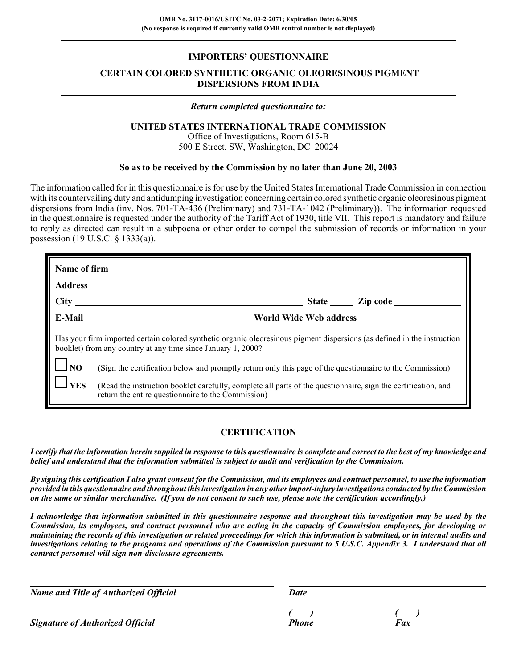## **IMPORTERS' QUESTIONNAIRE**

# **CERTAIN COLORED SYNTHETIC ORGANIC OLEORESINOUS PIGMENT DISPERSIONS FROM INDIA**

### *Return completed questionnaire to:*

### **UNITED STATES INTERNATIONAL TRADE COMMISSION**

Office of Investigations, Room 615-B 500 E Street, SW, Washington, DC 20024

### **So as to be received by the Commission by no later than June 20, 2003**

The information called for in this questionnaire is for use by the United States International Trade Commission in connection with its countervailing duty and antidumping investigation concerning certain colored synthetic organic oleoresinous pigment dispersions from India (inv. Nos. 701-TA-436 (Preliminary) and 731-TA-1042 (Preliminary)). The information requested in the questionnaire is requested under the authority of the Tariff Act of 1930, title VII. This report is mandatory and failure to reply as directed can result in a subpoena or other order to compel the submission of records or information in your possession (19 U.S.C. § 1333(a)).

|                   | Has your firm imported certain colored synthetic organic oleoresinous pigment dispersions (as defined in the instruction<br>booklet) from any country at any time since January 1, 2000? |
|-------------------|------------------------------------------------------------------------------------------------------------------------------------------------------------------------------------------|
| $\frac{1}{10}$ NO | (Sign the certification below and promptly return only this page of the questionnaire to the Commission)                                                                                 |
| <b>YES</b>        | (Read the instruction booklet carefully, complete all parts of the questionnaire, sign the certification, and<br>return the entire questionnaire to the Commission)                      |

# **CERTIFICATION**

*I certify that the information herein supplied in response to this questionnaire is complete and correct to the best of my knowledge and belief and understand that the information submitted is subject to audit and verification by the Commission.*

*By signing this certification I also grant consent for the Commission, and its employees and contract personnel, to use the information provided in this questionnaire and throughout this investigation in any other import-injury investigations conducted by the Commission on the same or similar merchandise. (If you do not consent to such use, please note the certification accordingly.)*

*I acknowledge that information submitted in this questionnaire response and throughout this investigation may be used by the Commission, its employees, and contract personnel who are acting in the capacity of Commission employees, for developing or maintaining the records of this investigation or related proceedings for which this information is submitted, or in internal audits and investigations relating to the programs and operations of the Commission pursuant to 5 U.S.C. Appendix 3. I understand that all contract personnel will sign non-disclosure agreements.*

*Name and Title of Authorized Official* Date Date

**Signature of Authorized Official Phone Faxce Faxce Phone** 

*( ) ( )*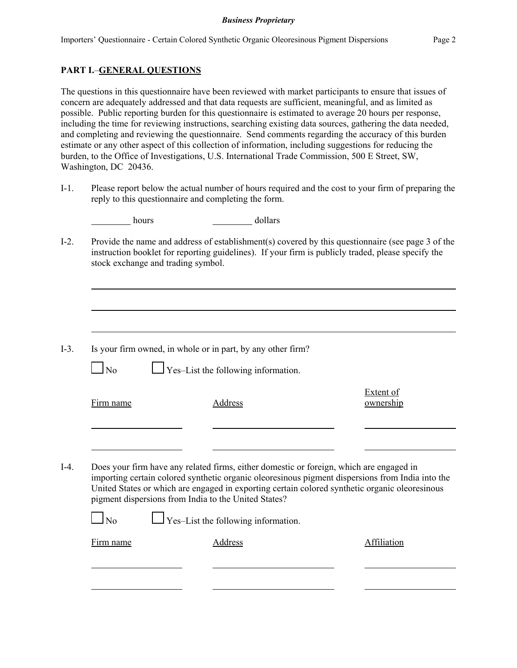# **PART I.**–**GENERAL QUESTIONS**

The questions in this questionnaire have been reviewed with market participants to ensure that issues of concern are adequately addressed and that data requests are sufficient, meaningful, and as limited as possible. Public reporting burden for this questionnaire is estimated to average 20 hours per response, including the time for reviewing instructions, searching existing data sources, gathering the data needed, and completing and reviewing the questionnaire. Send comments regarding the accuracy of this burden estimate or any other aspect of this collection of information, including suggestions for reducing the burden, to the Office of Investigations, U.S. International Trade Commission, 500 E Street, SW, Washington, DC 20436.

I-1. Please report below the actual number of hours required and the cost to your firm of preparing the reply to this questionnaire and completing the form.

| hours          | dollars                                                                                                                                                                                                                                                    |                               |
|----------------|------------------------------------------------------------------------------------------------------------------------------------------------------------------------------------------------------------------------------------------------------------|-------------------------------|
|                | Provide the name and address of establishment(s) covered by this questionnaire (see page 3 of the<br>instruction booklet for reporting guidelines). If your firm is publicly traded, please specify the<br>stock exchange and trading symbol.              |                               |
|                |                                                                                                                                                                                                                                                            |                               |
| N <sub>0</sub> | Is your firm owned, in whole or in part, by any other firm?<br>$\Gamma$ Yes–List the following information.                                                                                                                                                |                               |
| Firm name      | Address                                                                                                                                                                                                                                                    | <b>Extent of</b><br>ownership |
|                | Does your firm have any related firms, either domestic or foreign, which are engaged in                                                                                                                                                                    |                               |
|                | importing certain colored synthetic organic oleoresinous pigment dispersions from India into the<br>United States or which are engaged in exporting certain colored synthetic organic oleoresinous<br>pigment dispersions from India to the United States? |                               |
| $\log$         | Yes-List the following information.                                                                                                                                                                                                                        |                               |
| Firm name      | Address                                                                                                                                                                                                                                                    | Affiliation                   |
|                |                                                                                                                                                                                                                                                            |                               |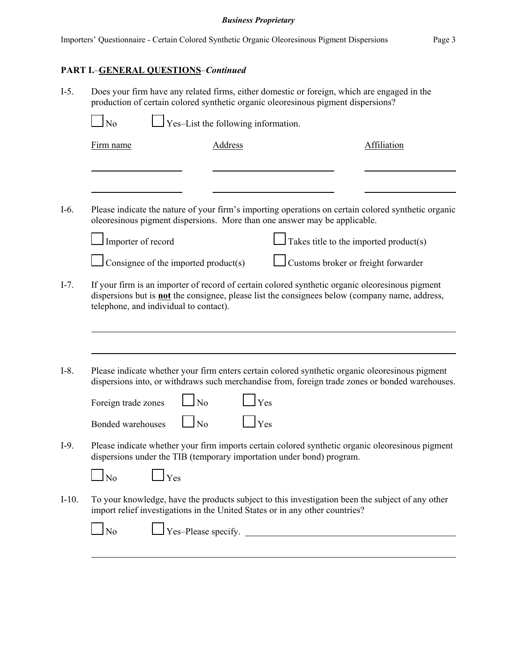# **PART I.**–**GENERAL QUESTIONS**–*Continued*

| $I-5.$  | production of certain colored synthetic organic oleoresinous pigment dispersions?              | Does your firm have any related firms, either domestic or foreign, which are engaged in the                                                                                                               |
|---------|------------------------------------------------------------------------------------------------|-----------------------------------------------------------------------------------------------------------------------------------------------------------------------------------------------------------|
|         | Yes-List the following information.<br><b>No</b>                                               |                                                                                                                                                                                                           |
|         | <b>Address</b><br>Firm name                                                                    | <b>Affiliation</b>                                                                                                                                                                                        |
|         |                                                                                                |                                                                                                                                                                                                           |
| $I-6.$  | oleoresinous pigment dispersions. More than one answer may be applicable.                      | Please indicate the nature of your firm's importing operations on certain colored synthetic organic                                                                                                       |
|         | Importer of record                                                                             | Takes title to the imported product(s)                                                                                                                                                                    |
|         | Consignee of the imported product(s)                                                           | Customs broker or freight forwarder                                                                                                                                                                       |
| $I-7$ . | telephone, and individual to contact).                                                         | If your firm is an importer of record of certain colored synthetic organic oleoresinous pigment<br>dispersions but is <b>not</b> the consignee, please list the consignees below (company name, address,  |
| $I-8$ . | N <sub>0</sub><br>Foreign trade zones                                                          | Please indicate whether your firm enters certain colored synthetic organic oleoresinous pigment<br>dispersions into, or withdraws such merchandise from, foreign trade zones or bonded warehouses.<br>Yes |
|         | N <sub>o</sub><br>Bonded warehouses                                                            | Yes                                                                                                                                                                                                       |
| $I-9.$  | dispersions under the TIB (temporary importation under bond) program.                          | Please indicate whether your firm imports certain colored synthetic organic oleoresinous pigment                                                                                                          |
|         | No<br>Yes                                                                                      |                                                                                                                                                                                                           |
| $I-10.$ | import relief investigations in the United States or in any other countries?<br>N <sub>o</sub> | To your knowledge, have the products subject to this investigation been the subject of any other                                                                                                          |
|         |                                                                                                |                                                                                                                                                                                                           |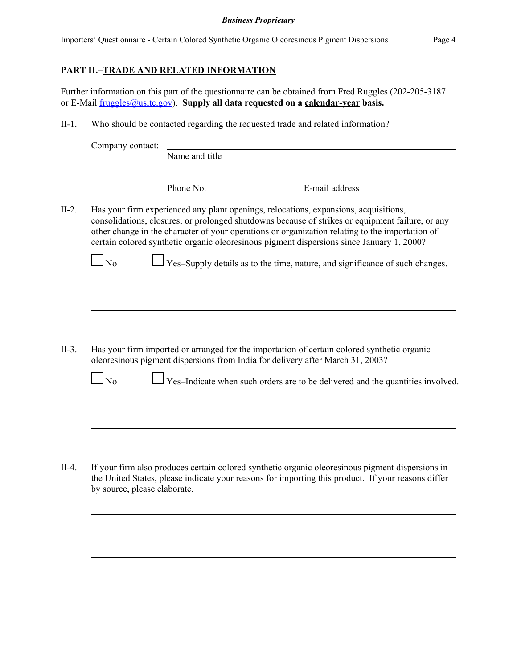# **PART II.**–**TRADE AND RELATED INFORMATION**

Further information on this part of the questionnaire can be obtained from Fred Ruggles (202-205-3187 or E-Mail fruggles@usitc.gov). **Supply all data requested on a calendar-year basis.**

II-1. Who should be contacted regarding the requested trade and related information?

| Company contact:       |                |                                                                                                                                                                                                                                                                                                                                                                                          |
|------------------------|----------------|------------------------------------------------------------------------------------------------------------------------------------------------------------------------------------------------------------------------------------------------------------------------------------------------------------------------------------------------------------------------------------------|
|                        | Name and title |                                                                                                                                                                                                                                                                                                                                                                                          |
|                        | Phone No.      | E-mail address                                                                                                                                                                                                                                                                                                                                                                           |
|                        |                | Has your firm experienced any plant openings, relocations, expansions, acquisitions,<br>consolidations, closures, or prolonged shutdowns because of strikes or equipment failure, or any<br>other change in the character of your operations or organization relating to the importation of<br>certain colored synthetic organic oleoresinous pigment dispersions since January 1, 2000? |
| $\overline{\text{No}}$ |                | Yes-Supply details as to the time, nature, and significance of such changes.                                                                                                                                                                                                                                                                                                             |
|                        |                |                                                                                                                                                                                                                                                                                                                                                                                          |
|                        |                |                                                                                                                                                                                                                                                                                                                                                                                          |
|                        |                |                                                                                                                                                                                                                                                                                                                                                                                          |
|                        |                |                                                                                                                                                                                                                                                                                                                                                                                          |
|                        |                | Has your firm imported or arranged for the importation of certain colored synthetic organic<br>oleoresinous pigment dispersions from India for delivery after March 31, 2003?                                                                                                                                                                                                            |
| $\log$                 |                |                                                                                                                                                                                                                                                                                                                                                                                          |
|                        |                |                                                                                                                                                                                                                                                                                                                                                                                          |
|                        |                |                                                                                                                                                                                                                                                                                                                                                                                          |
|                        |                | Yes-Indicate when such orders are to be delivered and the quantities involved.                                                                                                                                                                                                                                                                                                           |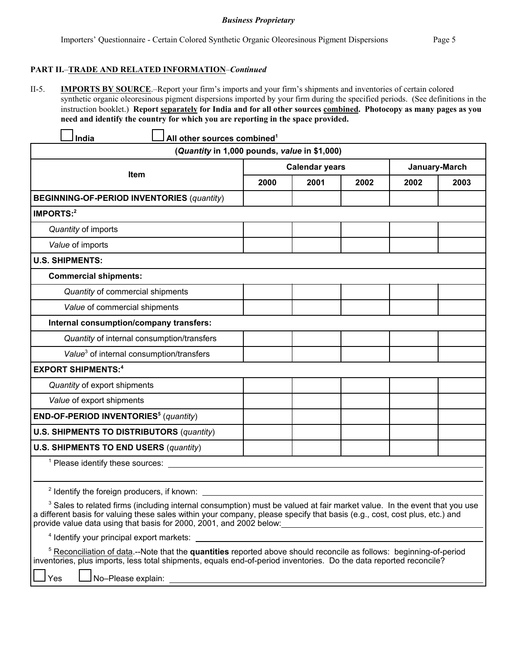II-5. **IMPORTS BY SOURCE**.–Report your firm's imports and your firm's shipments and inventories of certain colored synthetic organic oleoresinous pigment dispersions imported by your firm during the specified periods. (See definitions in the instruction booklet.) **Report separately for India and for all other sources combined. Photocopy as many pages as you need and identify the country for which you are reporting in the space provided.**

| All other sources combined <sup>1</sup><br>India                                                                                                                                                                                                                                                                                         |      |                       |      |      |               |  |
|------------------------------------------------------------------------------------------------------------------------------------------------------------------------------------------------------------------------------------------------------------------------------------------------------------------------------------------|------|-----------------------|------|------|---------------|--|
| (Quantity in 1,000 pounds, value in \$1,000)                                                                                                                                                                                                                                                                                             |      |                       |      |      |               |  |
|                                                                                                                                                                                                                                                                                                                                          |      | <b>Calendar years</b> |      |      | January-March |  |
| <b>Item</b>                                                                                                                                                                                                                                                                                                                              | 2000 | 2001                  | 2002 | 2002 | 2003          |  |
| <b>BEGINNING-OF-PERIOD INVENTORIES (quantity)</b>                                                                                                                                                                                                                                                                                        |      |                       |      |      |               |  |
| <b>IMPORTS:2</b>                                                                                                                                                                                                                                                                                                                         |      |                       |      |      |               |  |
| Quantity of imports                                                                                                                                                                                                                                                                                                                      |      |                       |      |      |               |  |
| Value of imports                                                                                                                                                                                                                                                                                                                         |      |                       |      |      |               |  |
| <b>U.S. SHIPMENTS:</b>                                                                                                                                                                                                                                                                                                                   |      |                       |      |      |               |  |
| <b>Commercial shipments:</b>                                                                                                                                                                                                                                                                                                             |      |                       |      |      |               |  |
| Quantity of commercial shipments                                                                                                                                                                                                                                                                                                         |      |                       |      |      |               |  |
| Value of commercial shipments                                                                                                                                                                                                                                                                                                            |      |                       |      |      |               |  |
| Internal consumption/company transfers:                                                                                                                                                                                                                                                                                                  |      |                       |      |      |               |  |
| Quantity of internal consumption/transfers                                                                                                                                                                                                                                                                                               |      |                       |      |      |               |  |
| Value <sup>3</sup> of internal consumption/transfers                                                                                                                                                                                                                                                                                     |      |                       |      |      |               |  |
| <b>EXPORT SHIPMENTS:4</b>                                                                                                                                                                                                                                                                                                                |      |                       |      |      |               |  |
| Quantity of export shipments                                                                                                                                                                                                                                                                                                             |      |                       |      |      |               |  |
| Value of export shipments                                                                                                                                                                                                                                                                                                                |      |                       |      |      |               |  |
| END-OF-PERIOD INVENTORIES <sup>5</sup> (quantity)                                                                                                                                                                                                                                                                                        |      |                       |      |      |               |  |
| <b>U.S. SHIPMENTS TO DISTRIBUTORS (quantity)</b>                                                                                                                                                                                                                                                                                         |      |                       |      |      |               |  |
| <b>U.S. SHIPMENTS TO END USERS (quantity)</b>                                                                                                                                                                                                                                                                                            |      |                       |      |      |               |  |
|                                                                                                                                                                                                                                                                                                                                          |      |                       |      |      |               |  |
|                                                                                                                                                                                                                                                                                                                                          |      |                       |      |      |               |  |
| <sup>2</sup> Identify the foreign producers, if known:                                                                                                                                                                                                                                                                                   |      |                       |      |      |               |  |
| <sup>3</sup> Sales to related firms (including internal consumption) must be valued at fair market value. In the event that you use<br>a different basis for valuing these sales within your company, please specify that basis (e.g., cost, cost plus, etc.) and<br>provide value data using that basis for 2000, 2001, and 2002 below: |      |                       |      |      |               |  |
| <sup>4</sup> Identify your principal export markets:                                                                                                                                                                                                                                                                                     |      |                       |      |      |               |  |

5 Reconciliation of data.--Note that the **quantities** reported above should reconcile as follows: beginning-of-period inventories, plus imports, less total shipments, equals end-of-period inventories. Do the data reported reconcile?

Yes **L**No–Please explain: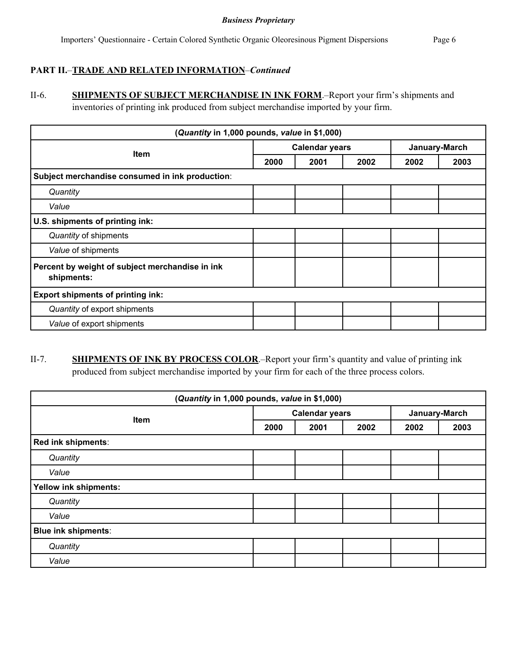# **PART II.**–**TRADE AND RELATED INFORMATION**–*Continued*

II-6. **SHIPMENTS OF SUBJECT MERCHANDISE IN INK FORM**.–Report your firm's shipments and inventories of printing ink produced from subject merchandise imported by your firm.

| (Quantity in 1,000 pounds, value in \$1,000)                  |                       |      |      |               |      |
|---------------------------------------------------------------|-----------------------|------|------|---------------|------|
| <b>Item</b>                                                   | <b>Calendar years</b> |      |      | January-March |      |
|                                                               | 2000                  | 2001 | 2002 | 2002          | 2003 |
| Subject merchandise consumed in ink production:               |                       |      |      |               |      |
| Quantity                                                      |                       |      |      |               |      |
| Value                                                         |                       |      |      |               |      |
| U.S. shipments of printing ink:                               |                       |      |      |               |      |
| Quantity of shipments                                         |                       |      |      |               |      |
| Value of shipments                                            |                       |      |      |               |      |
| Percent by weight of subject merchandise in ink<br>shipments: |                       |      |      |               |      |
| <b>Export shipments of printing ink:</b>                      |                       |      |      |               |      |
| Quantity of export shipments                                  |                       |      |      |               |      |
| Value of export shipments                                     |                       |      |      |               |      |

# II-7. **SHIPMENTS OF INK BY PROCESS COLOR**.–Report your firm's quantity and value of printing ink produced from subject merchandise imported by your firm for each of the three process colors.

| (Quantity in 1,000 pounds, value in \$1,000) |                       |      |      |               |      |
|----------------------------------------------|-----------------------|------|------|---------------|------|
|                                              | <b>Calendar years</b> |      |      | January-March |      |
| <b>Item</b>                                  | 2000                  | 2001 | 2002 | 2002          | 2003 |
| Red ink shipments:                           |                       |      |      |               |      |
| Quantity                                     |                       |      |      |               |      |
| Value                                        |                       |      |      |               |      |
| <b>Yellow ink shipments:</b>                 |                       |      |      |               |      |
| Quantity                                     |                       |      |      |               |      |
| Value                                        |                       |      |      |               |      |
| <b>Blue ink shipments:</b>                   |                       |      |      |               |      |
| Quantity                                     |                       |      |      |               |      |
| Value                                        |                       |      |      |               |      |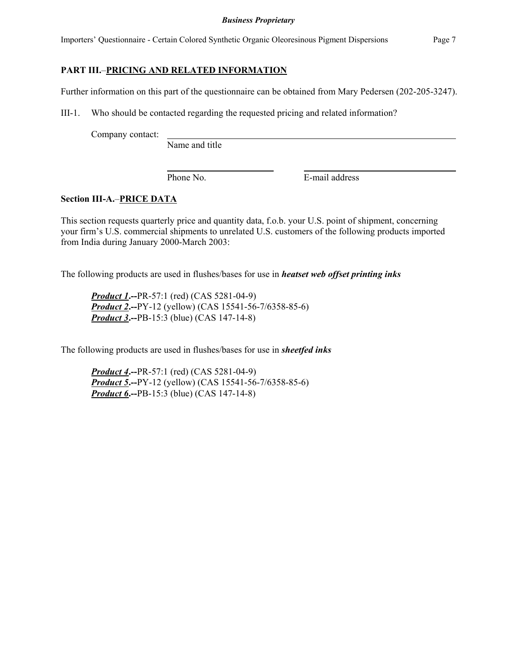Importers' Questionnaire - Certain Colored Synthetic Organic Oleoresinous Pigment Dispersions Page 7

### **PART III.**–**PRICING AND RELATED INFORMATION**

Further information on this part of the questionnaire can be obtained from Mary Pedersen (202-205-3247).

III-1. Who should be contacted regarding the requested pricing and related information?

Company contact:

Name and title

Phone No. **E-mail address** 

## **Section III-A.**–**PRICE DATA**

This section requests quarterly price and quantity data, f.o.b. your U.S. point of shipment, concerning your firm's U.S. commercial shipments to unrelated U.S. customers of the following products imported from India during January 2000-March 2003:

The following products are used in flushes/bases for use in *heatset web offset printing inks*

*Product 1***.--**PR-57:1 (red) (CAS 5281-04-9) *Product 2***.--**PY-12 (yellow) (CAS 15541-56-7/6358-85-6) *Product 3***.--**PB-15:3 (blue) (CAS 147-14-8)

The following products are used in flushes/bases for use in *sheetfed inks*

*Product 4***.--**PR-57:1 (red) (CAS 5281-04-9) *Product 5***.--**PY-12 (yellow) (CAS 15541-56-7/6358-85-6) *Product 6***.--**PB-15:3 (blue) (CAS 147-14-8)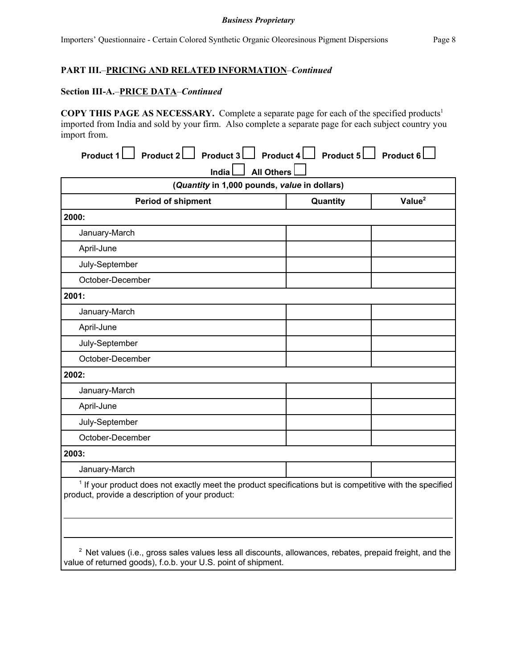# **PART III.**–**PRICING AND RELATED INFORMATION**–*Continued*

#### **Section III-A.**–**PRICE DATA**–*Continued*

**COPY THIS PAGE AS NECESSARY.** Complete a separate page for each of the specified products1 imported from India and sold by your firm. Also complete a separate page for each subject country you import from.

| Product 1 Product 2 Product 3 Product 4 Product 5 Product 6 Product 6                                                                                                  |                   |                    |
|------------------------------------------------------------------------------------------------------------------------------------------------------------------------|-------------------|--------------------|
| India<br>(Quantity in 1,000 pounds, value in dollars)                                                                                                                  | <b>All Others</b> |                    |
| <b>Period of shipment</b>                                                                                                                                              | Quantity          | Value <sup>2</sup> |
| 2000:                                                                                                                                                                  |                   |                    |
| January-March                                                                                                                                                          |                   |                    |
| April-June                                                                                                                                                             |                   |                    |
| July-September                                                                                                                                                         |                   |                    |
| October-December                                                                                                                                                       |                   |                    |
| 2001:                                                                                                                                                                  |                   |                    |
| January-March                                                                                                                                                          |                   |                    |
| April-June                                                                                                                                                             |                   |                    |
| July-September                                                                                                                                                         |                   |                    |
| October-December                                                                                                                                                       |                   |                    |
| 2002:                                                                                                                                                                  |                   |                    |
| January-March                                                                                                                                                          |                   |                    |
| April-June                                                                                                                                                             |                   |                    |
| July-September                                                                                                                                                         |                   |                    |
| October-December                                                                                                                                                       |                   |                    |
| 2003:                                                                                                                                                                  |                   |                    |
| January-March                                                                                                                                                          |                   |                    |
| <sup>1</sup> If your product does not exactly meet the product specifications but is competitive with the specified<br>product, provide a description of your product: |                   |                    |
|                                                                                                                                                                        |                   |                    |
| <sup>2</sup> Net values (i.e., gross sales values less all discounts, allowances, rebates, prepaid freight, and the                                                    |                   |                    |

value of returned goods), f.o.b. your U.S. point of shipment.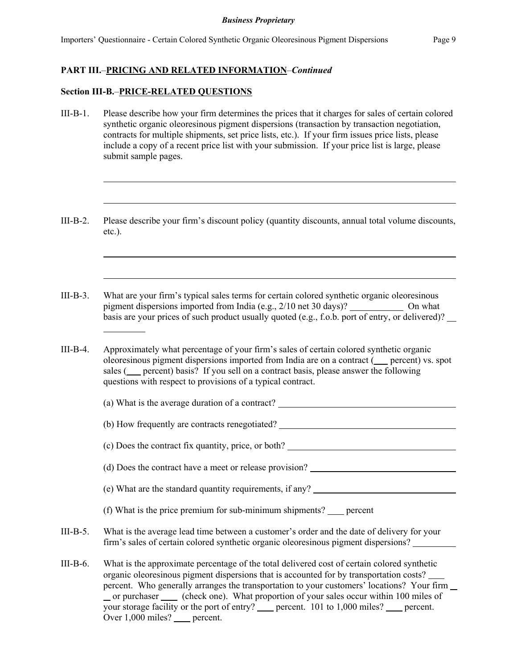## **PART III.**–**PRICING AND RELATED INFORMATION**–*Continued*

### **Section III-B.**–**PRICE-RELATED QUESTIONS**

l

- III-B-1. Please describe how your firm determines the prices that it charges for sales of certain colored synthetic organic oleoresinous pigment dispersions (transaction by transaction negotiation, contracts for multiple shipments, set price lists, etc.). If your firm issues price lists, please include a copy of a recent price list with your submission. If your price list is large, please submit sample pages.
- III-B-2. Please describe your firm's discount policy (quantity discounts, annual total volume discounts, etc.).
- III-B-3. What are your firm's typical sales terms for certain colored synthetic organic oleoresinous pigment dispersions imported from India (e.g., 2/10 net 30 days)? \_\_\_\_\_\_\_\_\_\_\_\_\_ On what basis are your prices of such product usually quoted (e.g., f.o.b. port of entry, or delivered)?
- III-B-4. Approximately what percentage of your firm's sales of certain colored synthetic organic oleoresinous pigment dispersions imported from India are on a contract ( percent) vs. spot sales (
percent) basis? If you sell on a contract basis, please answer the following questions with respect to provisions of a typical contract.

(a) What is the average duration of a contract?

(b) How frequently are contracts renegotiated?

(c) Does the contract fix quantity, price, or both?

| (d) Does the contract have a meet or release provision? |
|---------------------------------------------------------|
|---------------------------------------------------------|

- (e) What are the standard quantity requirements, if any?
- (f) What is the price premium for sub-minimum shipments? percent
- III-B-5. What is the average lead time between a customer's order and the date of delivery for your firm's sales of certain colored synthetic organic oleoresinous pigment dispersions?
- III-B-6. What is the approximate percentage of the total delivered cost of certain colored synthetic organic oleoresinous pigment dispersions that is accounted for by transportation costs? percent. Who generally arranges the transportation to your customers' locations? Your firm or purchaser (check one). What proportion of your sales occur within 100 miles of your storage facility or the port of entry? percent. 101 to 1,000 miles? percent. Over 1,000 miles? percent.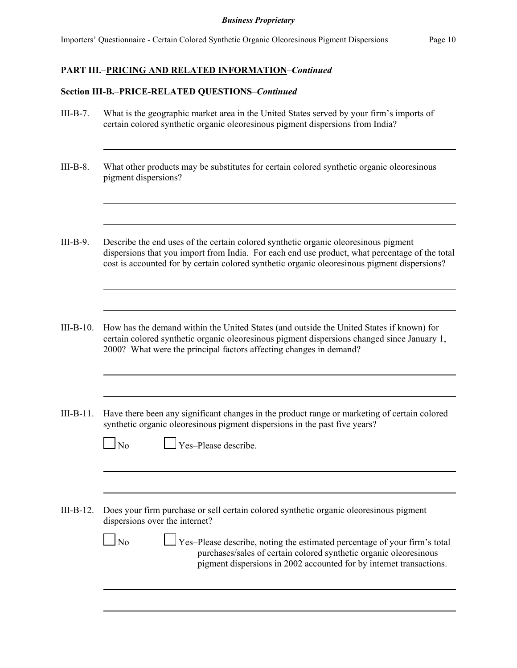## **PART III.**–**PRICING AND RELATED INFORMATION**–*Continued*

### **Section III-B.**–**PRICE-RELATED QUESTIONS**–*Continued*

- III-B-7. What is the geographic market area in the United States served by your firm's imports of certain colored synthetic organic oleoresinous pigment dispersions from India?
- III-B-8. What other products may be substitutes for certain colored synthetic organic oleoresinous pigment dispersions?
- III-B-9. Describe the end uses of the certain colored synthetic organic oleoresinous pigment dispersions that you import from India. For each end use product, what percentage of the total cost is accounted for by certain colored synthetic organic oleoresinous pigment dispersions?
- III-B-10. How has the demand within the United States (and outside the United States if known) for certain colored synthetic organic oleoresinous pigment dispersions changed since January 1, 2000? What were the principal factors affecting changes in demand?
- III-B-11. Have there been any significant changes in the product range or marketing of certain colored synthetic organic oleoresinous pigment dispersions in the past five years?

|--|

 $\Gamma$  Yes–Please describe.

III-B-12. Does your firm purchase or sell certain colored synthetic organic oleoresinous pigment dispersions over the internet?

> No Yes–Please describe, noting the estimated percentage of your firm's total purchases/sales of certain colored synthetic organic oleoresinous pigment dispersions in 2002 accounted for by internet transactions.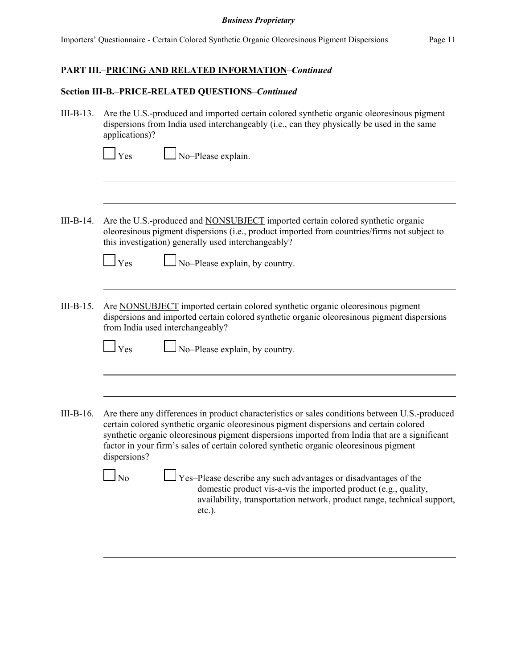# **PART III.**–**PRICING AND RELATED INFORMATION**–*Continued*

# **Section III-B.**–**PRICE-RELATED QUESTIONS**–*Continued*

| $III-B-13.$ | Are the U.S.-produced and imported certain colored synthetic organic oleoresinous pigment<br>dispersions from India used interchangeably (i.e., can they physically be used in the same<br>applications)?                                                                                                                                                                                          |
|-------------|----------------------------------------------------------------------------------------------------------------------------------------------------------------------------------------------------------------------------------------------------------------------------------------------------------------------------------------------------------------------------------------------------|
|             | No-Please explain.<br>Yes                                                                                                                                                                                                                                                                                                                                                                          |
|             |                                                                                                                                                                                                                                                                                                                                                                                                    |
| $III-B-14.$ | Are the U.S.-produced and NONSUBJECT imported certain colored synthetic organic<br>oleoresinous pigment dispersions (i.e., product imported from countries/firms not subject to<br>this investigation) generally used interchangeably?                                                                                                                                                             |
|             | $\Box$ Yes<br>No-Please explain, by country.                                                                                                                                                                                                                                                                                                                                                       |
| $III-B-15.$ | Are NONSUBJECT imported certain colored synthetic organic oleoresinous pigment<br>dispersions and imported certain colored synthetic organic oleoresinous pigment dispersions<br>from India used interchangeably?                                                                                                                                                                                  |
|             | No-Please explain, by country.<br>Yes                                                                                                                                                                                                                                                                                                                                                              |
|             |                                                                                                                                                                                                                                                                                                                                                                                                    |
| $III-B-16.$ | Are there any differences in product characteristics or sales conditions between U.S.-produced<br>certain colored synthetic organic oleoresinous pigment dispersions and certain colored<br>synthetic organic oleoresinous pigment dispersions imported from India that are a significant<br>factor in your firm's sales of certain colored synthetic organic oleoresinous pigment<br>dispersions? |
|             | Yes-Please describe any such advantages or disadvantages of the<br>N <sub>0</sub><br>domestic product vis-a-vis the imported product (e.g., quality,<br>availability, transportation network, product range, technical support,<br>$etc.$ ).                                                                                                                                                       |
|             |                                                                                                                                                                                                                                                                                                                                                                                                    |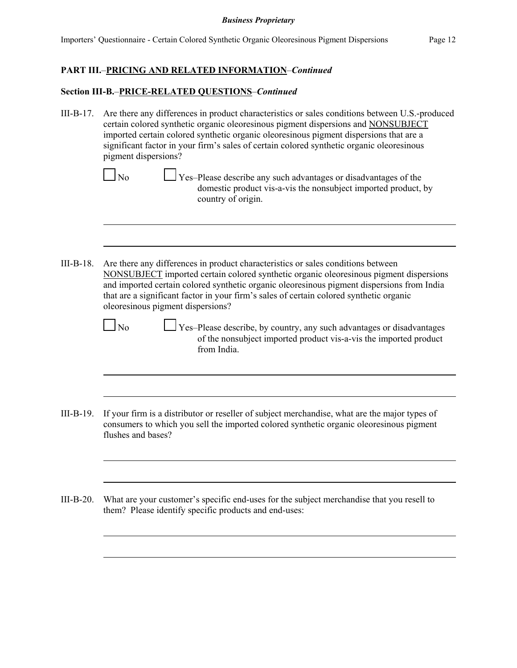## **PART III.**–**PRICING AND RELATED INFORMATION**–*Continued*

### **Section III-B.**–**PRICE-RELATED QUESTIONS**–*Continued*

- III-B-17. Are there any differences in product characteristics or sales conditions between U.S.-produced certain colored synthetic organic oleoresinous pigment dispersions and NONSUBJECT imported certain colored synthetic organic oleoresinous pigment dispersions that are a significant factor in your firm's sales of certain colored synthetic organic oleoresinous pigment dispersions?  $N_0$   $\Box$  Yes–Please describe any such advantages or disadvantages of the domestic product vis-a-vis the nonsubject imported product, by country of origin.
- III-B-18. Are there any differences in product characteristics or sales conditions between NONSUBJECT imported certain colored synthetic organic oleoresinous pigment dispersions and imported certain colored synthetic organic oleoresinous pigment dispersions from India that are a significant factor in your firm's sales of certain colored synthetic organic oleoresinous pigment dispersions?

|--|

- Yes–Please describe, by country, any such advantages or disadvantages of the nonsubject imported product vis-a-vis the imported product from India.
- III-B-19. If your firm is a distributor or reseller of subject merchandise, what are the major types of consumers to which you sell the imported colored synthetic organic oleoresinous pigment flushes and bases?
- III-B-20. What are your customer's specific end-uses for the subject merchandise that you resell to them? Please identify specific products and end-uses: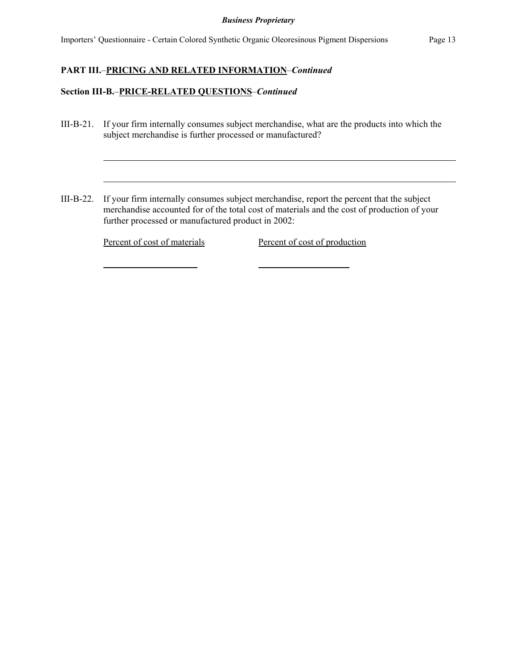Importers' Questionnaire - Certain Colored Synthetic Organic Oleoresinous Pigment Dispersions Page 13

# **PART III.**–**PRICING AND RELATED INFORMATION**–*Continued*

### **Section III-B.**–**PRICE-RELATED QUESTIONS**–*Continued*

- III-B-21. If your firm internally consumes subject merchandise, what are the products into which the subject merchandise is further processed or manufactured?
- III-B-22. If your firm internally consumes subject merchandise, report the percent that the subject merchandise accounted for of the total cost of materials and the cost of production of your further processed or manufactured product in 2002:

Percent of cost of materials Percent of cost of production